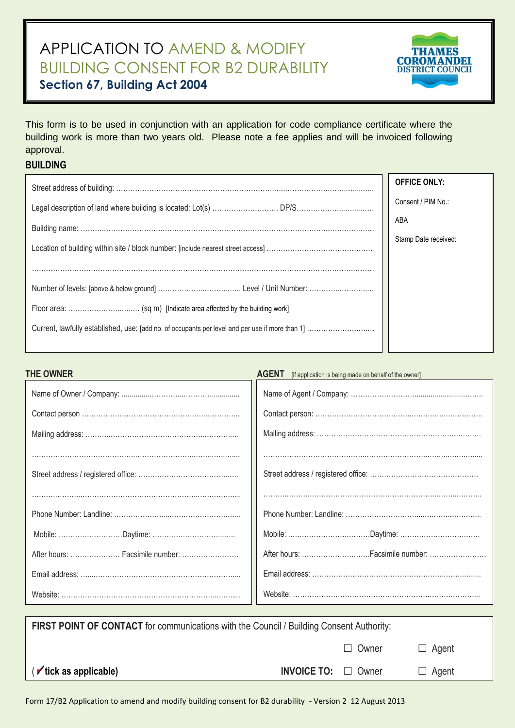## APPLICATION TO AMEND & MODIFY BUILDING CONSENT FOR B2 DURABILITY **Section 67, Building Act 2004**



This form is to be used in conjunction with an application for code compliance certificate where the building work is more than two years old. Please note a fee applies and will be invoiced following approval.

## **BUILDING**

| <b>OFFICE ONLY:</b>  |
|----------------------|
| Consent / PIM No.:   |
| ABA                  |
| Stamp Date received: |
|                      |
|                      |
|                      |
|                      |
|                      |

## **THE OWNER AGENT Intervention CONNER AGENT** *If application is being made on behalf of the owner]*

| After hours:  Facsimile number: |  |
|---------------------------------|--|
|                                 |  |
|                                 |  |
|                                 |  |

| <b>FIRST POINT OF CONTACT</b> for communications with the Council / Building Consent Authority: |                                 |              |              |  |
|-------------------------------------------------------------------------------------------------|---------------------------------|--------------|--------------|--|
|                                                                                                 |                                 | $\Box$ Owner | $\Box$ Agent |  |
| $(\sqrt{\frac{1}{1}})$ ( $\sqrt{\frac{1}{1}}$ tick as applicable)                               | <b>INVOICE TO:</b> $\Box$ Owner |              | $\Box$ Agent |  |